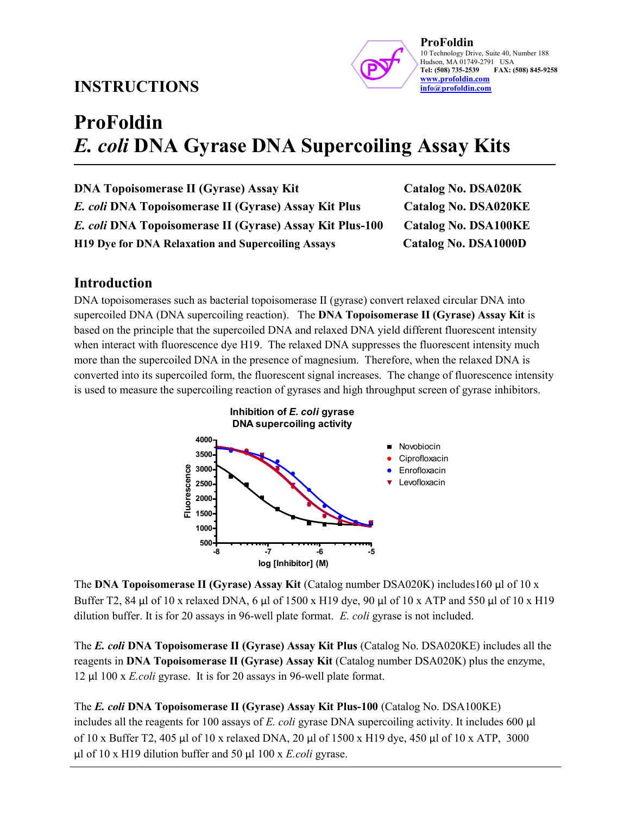# INSTRUCTIONS



ProFoldin 10 Technology Drive, Suite 40, Number 188 Hudson, MA 01749-2791 USA<br>Tel: (508) 735-2539 FAX: ( FAX: (508) 845-9258 www.profoldin.com info@profoldin.com

# ProFoldin E. coli DNA Gyrase DNA Supercoiling Assay Kits

| <b>DNA Topoisomerase II (Gyrase) Assay Kit</b>           | Catalog No. DSA020K         |
|----------------------------------------------------------|-----------------------------|
| E. coli DNA Topoisomerase II (Gyrase) Assay Kit Plus     | <b>Catalog No. DSA020KE</b> |
| E. coli DNA Topoisomerase II (Gyrase) Assay Kit Plus-100 | <b>Catalog No. DSA100KE</b> |
| H19 Dye for DNA Relaxation and Supercoiling Assays       | Catalog No. DSA1000D        |

#### Introduction

DNA topoisomerases such as bacterial topoisomerase II (gyrase) convert relaxed circular DNA into supercoiled DNA (DNA supercoiling reaction). The DNA Topoisomerase II (Gyrase) Assay Kit is based on the principle that the supercoiled DNA and relaxed DNA yield different fluorescent intensity when interact with fluorescence dye H19. The relaxed DNA suppresses the fluorescent intensity much more than the supercoiled DNA in the presence of magnesium. Therefore, when the relaxed DNA is converted into its supercoiled form, the fluorescent signal increases. The change of fluorescence intensity is used to measure the supercoiling reaction of gyrases and high throughput screen of gyrase inhibitors.



The DNA Topoisomerase II (Gyrase) Assay Kit (Catalog number  $DSA020K$ ) includes160 µl of 10 x Buffer T2, 84 µl of 10 x relaxed DNA, 6 µl of 1500 x H19 dye, 90 µl of 10 x ATP and 550 µl of 10 x H19 dilution buffer. It is for 20 assays in 96-well plate format. E. coli gyrase is not included.

The E. coli DNA Topoisomerase II (Gyrase) Assay Kit Plus (Catalog No. DSA020KE) includes all the reagents in DNA Topoisomerase II (Gyrase) Assay Kit (Catalog number DSA020K) plus the enzyme, 12 µl 100 x E.coli gyrase. It is for 20 assays in 96-well plate format.

The E. coli DNA Topoisomerase II (Gyrase) Assay Kit Plus-100 (Catalog No. DSA100KE) includes all the reagents for 100 assays of E. coli gyrase DNA supercoiling activity. It includes 600  $\mu$ l of 10 x Buffer T2, 405 µl of 10 x relaxed DNA, 20 µl of 1500 x H19 dye, 450 µl of 10 x ATP, 3000  $\mu$ l of 10 x H19 dilution buffer and 50  $\mu$ l 100 x E.coli gyrase.